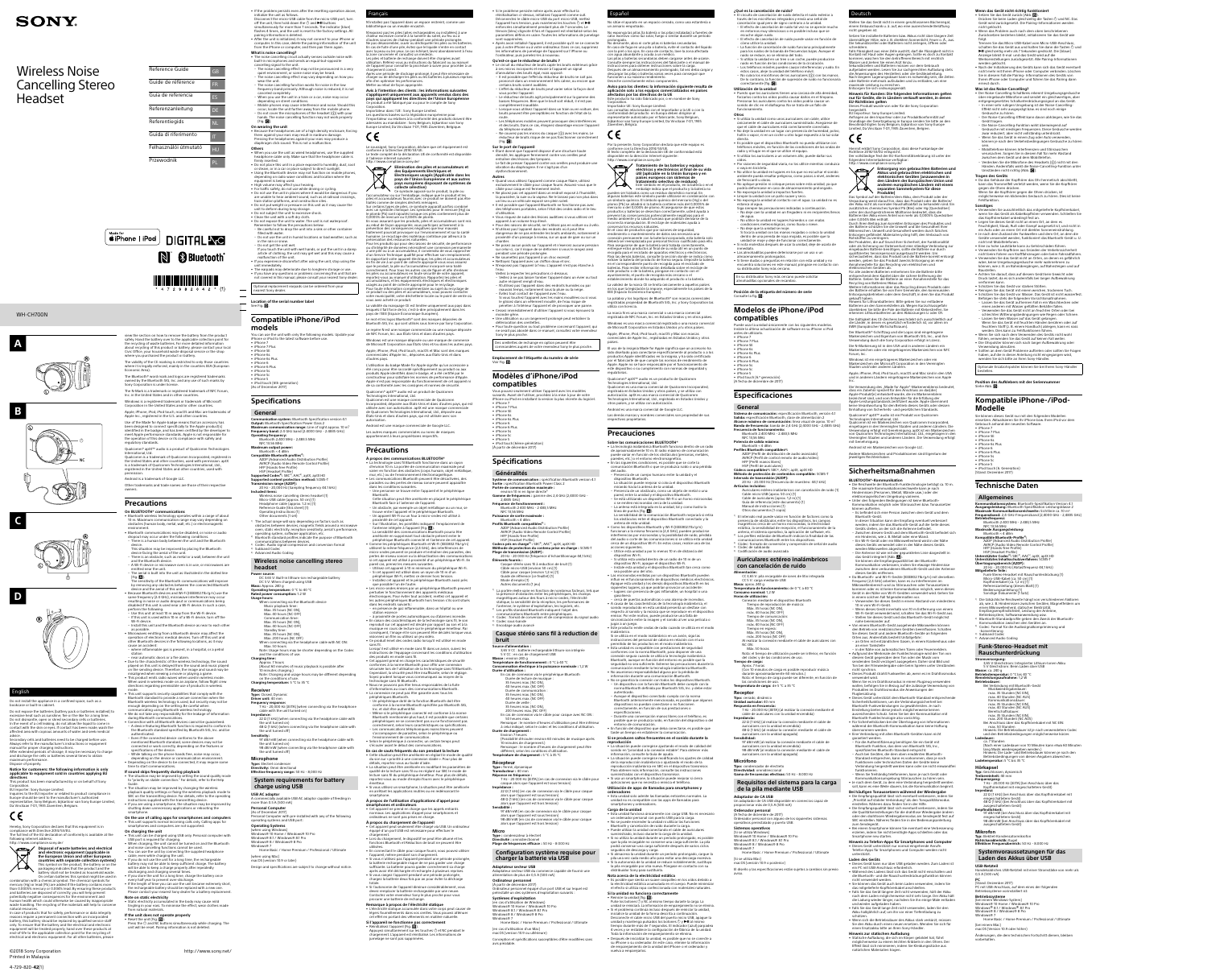### WH-CH700N

# **SONY**

## Wireless Noise Cancelling Stereo Headset

| Reference Guide       | GB        |
|-----------------------|-----------|
| Guide de référence    | <b>FR</b> |
| Guía de referencia    | ES        |
| Referenzanleitung     | DE        |
| Referentiegids        | <b>NL</b> |
| Guida di riferimento  | П         |
| Felhasználói útmutató | HU        |
| Przewodnik            | PL        |
|                       |           |

## $\left(\bigstar\limits_{\text{modes of}}^{\text{Made for}}\right)$  DIGITAL  $\text{N}_\text{C}$ N & Bluetooth® <u> Handburg von Barbert und der Bergerung der Bergerungsbesonderten Barbert und der Bergerungsbesonderten Barbert und der Bergerung der Barbert und der Bergerungsbesonderte aller der Bergerungsbesonderte aller antalt der Be</u>  $*$  472982042  $*$  (1)

©2018 Sony Corporation http://www.sony.net/









**D**



iance with Directive 2014/53/EU The full text of the EU declaration of conformity is available at the following internet address: /www.compliance.sony.de/ **Disposal of waste batteries and electrical and electronic equipment (applicable in** 

**the European Union and other European countries with separate collection systems)** This symbol on the product, the battery or on the packaging indicates that the product and the battery shall not be treated as household waste. On certain batteries this symbol might be used in combination with a chemical symbol. The chemical symbols for mercury (Hg) or lead (Pb) are added if the battery contains more than 0.0005% mercury or 0.004% lead. By ensuring these products an bibood wincreary of older wiledarily ensuring areas priorition. potentially negative consequences for the environment and human health which could otherwise be caused by inappropriate aman nearm which coald other mode of caused by mappropriate handling. The recycling of the materials will help to conse natural resource: In case of products that for safety, performance or data integrity s require a permanent connection with an incorporate

Dispose of properly. **Notice for customers: the following information is only applicable to equipment sold in countries applying EU directives** This product has been manufactured by or on behalf of Sony Corporation. EU Importer: Sony Europe Limited. Inquiries to the EU Importer or related to product compliance in Europe should be sent to the manufacturer's authorized

representative, Sony Belgium, bijkantoor van Sony Europe Limited, Da Vincilaan 7-D1, 1935 Zaventem, Belgium. Hereby, Sony Corporation declares that this equipment is in

afely. Hand the battery over to the applicable collection point for the recycling of waste batteries. For more detailed information about recycling of this product or battery, please contact your local Civic Office, your household waste disposal service or the shop where you purchased the product or battery. The validity of the CE marking is restricted to only those countries where it is legally enforced, mainly in the countries EEA (European Economic Area).

view the section on how to remove the battery from the product

hect specifically to the Apple product(s identified in the badge, and has been certified by the developer to meet Apple performance standards. Apple is not responsible for the operation of this device or its compliance with safety and regulatory standards. Qualcomm® aptX™ audio is a product of Qualcomm Technologies International, Ltd. Qualcomm is a trademark of Qualcomm Incorporated, registered in the United States and other countries, used with permission. aptX

battery, this battery should be replaced by qualified service staff only. To ensure that the battery and the electrical and electron ent will be treated properly, hand over these products at end-of-life to the applicable collection point for the recycling of electrical and electronic equipment. For all other batteries, please

- range of about 10 m. Maximum communication range may vary depending on obstacles (human body, metal, wall, etc.) or electromagnetic environment. • Bluetooth communications may be disabled, or noise or audio dropout may occur under the following conditions. – There is a human body between the unit and the Bluetooth device. This situation may be improved by placing the Bluetooth device facing the aerial of the unit.
- There is an obstacle, such as metal or a wall, between the unit and the Bluetooth device. – A Wi-Fi device or microwave oven is in use, or microwaves are emitted near the unit. e aerial is built into the unit as illustrated in the dotted line Fig.  $\langle \bullet \rangle$ . .<br>sitivity of the Bluetooth communications will improve by removing any obstacles between the connected Bluetooth device and the aerial of this unit. • Because Bluetooth devices and Wi-Fi (IEEE802.11b/g/n) use the

mode. • This unit supports security capabilities that comply with the Bluetooth standard to provide a secure connection when the Bluetooth wireless technology is used, but security may not be enough depending on the setting. Be careful when communicating using Bluetooth wireless technology. • We do not take any responsibility for the leakage of information

The Bluetooth® word mark and logos are registered trademarks owned by the Bluetooth SIG, Inc. and any use of such marks by ony Corporation is under license The N-Mark is a trademark or registered trademark of NFC Forum, Inc. in the United States and in other countri Windows is a registered trademark or trademark of Microsoft poration in the United States and/or other count Apple, iPhone, iPod, iPod touch, macOS and Mac are trademarks of Apple Inc., registered in the U.S. and other countr Use of the Made for Apple badge means that an accessory has

• Depending on the device to be connected, it may require some time to start communications. **If sound skips frequently during playback** • The situation may be improved by setting the sound quality mode to "priority on stable connection." For details, refer to the Help Guide. • The situation may be improved by changing the wireless

**This unit supports normal incoming calls only. Calling apps for** smartphones and computers are not supported. **On charging the unit** •<br>t can be charged using USB only. Personal computer with USB port is required for charging. • When charging, the unit cannot be turned on and the Bluetooth

elling functions cannot be used. • You can use the unit by connecting the supplied headphone cable, even while charging the unit. If you do not use the unit for a long time, the rechargeable battery may not be able to keep sufficient charge. The battery will be able to keep a charge properly after repeatedly

is a trademark of Qualcomm Technologies International, Ltd., registered in the United States and other countries, used with permission. Android is a trademark of Google LLC. Other trademarks and trade names are those of their respective

**Note on static electricity** • Static electricity accumulated in the body may cause mild tingling in your ears. To minimise the effect, wear clothes made from natural materials. **If the unit does not operate properly** • Reset the unit (Fig.  $\mathbf{B}$ ).

Press the <sup>(1)</sup> and NC buttons simultaneously while charging. The unit will be reset. Pairing information is not deleted

owners.

#### **Precautions On BLUETOOTH® communications**

itialize the unit as follows Disconnect the micro-USB cable from the micro-USB port, turn off the unit, then hold down the  $\circlearrowright$  and  $\blacktriangleright$  II buttons susly for more than 7 seconds. The indicator (blue) flashes 4 times, and the unit is reset to the factory settings. All airing information is deleted. • After the unit is initialized, it may not connect to your iPhone or computer. In this case, delete the pairing information of the unit from the iPhone or computer, and then pair them again.

**What is noise cancelling?** • The noise cancelling circuit actually senses outside noise with built-in microphones and sends an equal-but-opposite cancelling signal to the unit. – The noise cancelling effect may not be pronounced in a very quiet environment, or some noise may be heard. – The noise cancelling effect may vary depending on how you wear the unit. – The noise cancelling function works for noise in the low ncy band primarily. Although noise is reduced, it is not canceled compl – When you use the unit in a train or a car, noise may occur depending on street conditions. – Mobile phones may cause interference and noise. Should this occur, locate the unit further away from the mobile phone. — Do not cover the microphones of the headset (①) with your<br>hands. The noise cancelling function may not work properly

• If the problem persists even after the resetting operation above,

**On wearing the unit**<br>• Because the headphones are of a high density enclosure, forcing them against your ears may result in eardrum damage. Pressing the headphones against your ears may produce a diaphragm click sound. This is not a malfunction.

 $($ Fig.  $|$ G $|$ ).

**Others**<br>• When you use the unit as wired headphones, use the supplied eadphone cable only. Make sure that the headphone cable is firmly inserted. • Do not place this unit in a place exposed to humidity, dust, soot or steam, or in a car or place subject to direct sunlight. • Using the Bluetooth device may not function on mobile phones, depending on radio wave conditions and location where the equipment is being used.

• High volume may affect your hearing. • For traffic safety, do not use while driving or cycling. • Do not use the unit in places where it would be dangerous if you are unable to hear ambient sound, such as at railroad crossings, train station platforms, and construction sites. • Do not put weight or pressure on this unit as it may cause the

same frequency (2.4 GHz), microwave interference may occur resulting in noise or audio dropout or communications being disabled if this unit is used near a Wi-Fi device. In such a case, perform the following. – Use this unit at least 10 m away from the Wi-Fi device. – If this unit is used within 10 m of a Wi-Fi device, turn off the Wi-Fi device.  $\ldots$   $\ldots$  acrice.<br>Install this unit and the Bluetooth device as near to each other as possible. waves emitting from a Bluetooth device may affect the operation of electronic medical devices. Turn off this unit and other Bluetooth devices in the following locations, as it may

– Do not use the unit in humid locations or bad weather, such as in the rain or snow. – Do not get the unit wet. If you touch the unit with wet hands, or put the unit in a damp article of clothing, the unit may get wet and this may cause a malfunction of the unit. • If you experience discomfort after using the unit, stop using the unit immediately. • The earpads may deteriorate due to longterm storage or use.

cause an accident:

• If you have any questions or problems concerning this unit that are not covered in this manual, please consult your nearest Sony dealer. Optional replacement earpads can be ordered from your nearest Sony dealer. **Location of the serial number labe** 

### $\overline{\phantom{a}}$  See Fig.  $\overline{\phantom{a}}$

**Compatible iPhone/iPod models** ou can use the unit with only the following models. Update your iPhone or iPod to the latest software before use. • iPhone 7 • iPhone 7 Plus • iPhone SE

iPhone 6s Plus • iPhone 6 • iPhone 6 Plus iPhone 5s • iPhone 5c

• iPhone 6s

– where inflammable gas is present, in a hospital, or a petrol station – near automatic doors or a fire alarm. • Due to the characteristic of the wireless technology, the sound played on this unit is delayed from the sound and music played on the sending device. Therefore, the image and sound may be misaligned when viewing a movie or playing a game. • This product emits radio waves when used in wireless mode. When used in wireless mode on an airplane, follow flight crew directions regarding permissible use of products in wireless

• iPhone 5 • iPod touch (6th generation) (As of December 2017)

2) Bluetooth standard profiles indicate the purpose of Bluetooth munications between devices Codec: Audio signal compression and conversion format <sup>4)</sup> Subband Codec<br><sup>5)</sup> Advanced Audio Coding

during Bluetooth communications. • Connection with all Bluetooth devices cannot be guaranteed. – A device featuring Bluetooth function is required to conform to the Bluetooth standard specified by Bluetooth SIG, Inc. and be authenticated. – Even if the connected device conforms to the above mentioned Bluetooth standard, some devices may not be connected or work correctly, depending on the features or specifications of the device. – While talking on the phone hands free, noise may occur, depending on the device or communication environment.

Max. 35 hours (NC ON) Max. 40 hours (NC OFF) Max. 35 hours (NC ON), Max. 200 hours (NC OFF) Max. 50 hours and the conditions of use.

0 minutes charging.) on the conditions of use **Charging temperature:** 5 °C to 35 °C

more than 0.5 A (500 mA) **Personal Compute** As of December 2017

playback quality settings or fixing the wireless playback mode to SBC on the transmitting device. For details, refer to the operating instructions supplied with the transmitting device. • If you are using a smartphone, the situation may be improved by shutting down unnecessary applications or rebooting the smartphone. **On the use of calling apps for smartphones and computers**

discharging and charging several times. • If you store the unit for a long time, charge the battery once every half year to prevent over-discharge • If the length of time you can use the unit became extremely short the rechargeable battery should be replaced with a new one. Please contact your nearest Sony dealer for a battery replacement.

l'antenne intégrée à l'appareil (Fig. ��).<br>La sensibilité des communications Bluetooth pourra être améliorée en supprimant tout obstacle présent entre le périphérique Bluetooth connecté et l'antenne de cet appareil. • Comme les périphériques Bluetooth et Wi-Fi (IEEE802.11b/g/n) utilisent la même fréquence (2,4 GHz), des interférences de micro-ondes peuvent se produire et entraîner des parasites, des pertes de niveau sonore ou la désactivation des commu si cet appareil est utilisé à proximité d'un périphérique Wi-Fi. En

unit to deform during long storage. • Do not subject the unit to excessive shock. • Clean the unit with a soft dry cloth. • Do not expose the unit to water. The unit is not waterproof. Remember to follow the precautions below. – Be careful not to drop the unit into a sink or other container filled with water.

> émetteur. • Si vous utilisez un smartphone, la situation peut être améliorée en arrêtant les applications inutiles ou en redémarrant le smartphone. **À propos de l'utilisation d'applications d'appel pour smartphones et ordinateurs** • Cet appareil ne prend en charge que les appels entrants

naux. Les applications d'appel pour smartphones et ordinateurs ne sont pas prises en charge. **À propos du chargement de l'appareil** • Cet appareil peut seulement être chargé via USB. Un ordinateur équipé d'un port USB est nécessaire pour effectuer le chargement.

## **Specifications**

**General Communication system:** Bluetooth Specification version 4.1 **Output:** Bluetooth Specification Power Class 2 **Maximum communication range:** Line of sight approx. 10 m1) **Frequency band:** 2.4 GHz band (2.4000 GHz - 2.4835 GHz) **Operating frequency:** Bluetooth 2,400 MHz - 2,483.5 MHz NFC 13.56 MHz

**Maximum output power:** Bluetooth < 4 dBm **Compatible Bluetooth profiles<sup>2)</sup>:**<br>A2DP (Advanced Audio Distribution Profile) AVRCP (Audio Video Remote Control Profile) HFP (Hands-free Profile) HSP (Headset Profile)

> **Si l'appareil ne fonctionne pas correctement** • Réinitialisez l'appareil (Fig.  $\boxdot$ ).<br>Appuyez simultanément sur les touches  $\bigcirc$  et NC pendant le chargement. L'appareil est réinitialisé. Les informations de elage ne sont pas supprimées

**Supported Codec3):** SBC4), AAC5), aptX, aptX HD **Supported content protection method:** SCMS-T **Transmission range (A2DP):** 20 Hz - 20,000 Hz (Sampling frequency 44.1 kHz) **Included items:**

Wireless noise cancelling stereo headset (1) Micro-USB cable (approx. 50 cm) (1) Headphone cable (approx. 1.2 m) (1) Reference Guide (this sheet) (1) Operating Instructions (1)

Other documents (1 set) The actual range will vary depending on factors such as obstacles between devices, magnetic fields around a microwave oven, static electricity, reception sensitivity, aerial's performance, operating system, software application, etc.

**Wireless noise cancelling stereo headset**

• Étant donné que l'appareil dispose d'une structure haute densité, les appliquer fermement contre vos oreilles peut entraîner des lésions des tympans. Le fait de presser l'appareil contre vos oreilles peut produire une vibration du diaphragme. Il ne s'agit pas d'un dysfonctionnement

**Power source:** DC 3.65 V: Built-in lithium-ion rechargeable battery DC 5 V: When charged using USB **Mass:** Approx. 240 g **Operating temperature:** 0 °C to 40 °C **Rated power consumption:** 1.2 W

**Usage hours:** When connecting via the Bluetooth device Music playback time: Max. 35 hours (NC ON), Max. 40 hours (NC OFF Communication time:

Standby time: When connecting via the headphone cable with NC ON:

Note: Usage hours may be shorter depending on the Codec **Charging time:**  $\overline{a}$  7 hours (About 60 minutes of music playback is possible after

Note: Charging and usage hours may be different depending

**Receiver Type:** Closed, Dynamic **Driver unit:** 40 mm

**Frequency response:** 7 Hz - 20,000 Hz (JEITA) (when connecting via the headphone

**Impedance:**

cable with the unit turned on) 22 Ω (1 kHz) (when connecting via the headphone cable with the unit turned on) 48 Ω (1 kHz) (when connecting via the headphone cable with

détérioration des oreillettes. • Pour toute question ou tout problème concernant l'appareil, qui ne serait pas abordé dans ce manuel, consultez votre revendeur Sony le plus proche. Des oreillettes de rechange en option peuvent être mandées auprès de votre revendeur Sony le plus proche.

the unit turned off) **Sensitivity:** 97 dB/mW (when connecting via the headphone cable with the unit turned on) 98 dB/mW (when connecting via the headphone cable with

Vous pouvez seulement utiliser l'appareil avec les modèles suivants. Avant de l'utiliser, procédez à la mise à jour de votre Phone ou iPod en installant la version la plus récente du logiciel.

the unit turned off)

**Microphone**

**Type:** Electret condenser **Directivity:** Omni directional **Effective frequency range:** 50 Hz - 8,000 Hz

• iPhone 7 • iPhone 7 Plus • iPhone SE • iPhone 6s iPhone 6s Plus • iPhone 6 • iPhone 6 Plus • iPhone 5s • iPhone 5c

**System requirements for battery** 

**charge using USB**

**Généralités Système de communication :** spécification Bluetooth version 4.1 **Sortie :** spécification Bluetooth Power Class 2 **Portée de communication maximale :** environ 10 m en ligne directe<sup>1</sup> **amme de fréquences :** gamme des 2,4 GHz (2,4000 GHz 2,4835 GHz) **Fréquence de fonctionnement :**  Bluetooth 2 400 MHz - 2 483,5 MHz NFC 13,56 MHz **Puissance de sortie maxima** 

**USB AC adaptor** A commercially available USB AC adaptor capable of feeding in

Personal Computer with pre-installed with any of the following operating systems and USB port: **Operating Systems** (when using Windows) Windows® 10 Home / Windows® 10 Pro

Windows® 8.1 / Windows® 8.1 Pro Windows® 8 / Windows® 8 Pro Windows® 7 Home Basic / Home Premium / Professional / Ultimate (when using Mac)

Câble pour casque (environ 1,2 m) (1) Guide de référence (ce feuillet) (1) 1ode d'emploi (1 Autres documents (1 jeu) <sup>1)</sup> La portée réelle varie en fonction de nombreux facteurs, tels que la présence d'obstacles entre les périphériques, les champs magnétiques autour des fours à micro-ondes, l'électricité atique, la sensibilité de la réception, les performances d antenne, le système d'exploitation, les logiciels, etc

macOS (version 10.9 or later) Design and specifications are subject to change without notice. N'installez pas l'appareil dans un espace restreint, comme une

rançais

n cas de connexion via le périphérique Bluetoot cas de connexión na le perip<br>Durée de lecture de musique 35 heures max. (NC ON), 10 heures max. (NC OFI Durée de communica 35 heures max. (NC ON), 10 heures max. (NC OF .<br>Durée de veille 35 heures max. (NC ON),

bibliothèque ou un meuble encastré. N'exposez pas les piles (piles rechargeables ou installées) à une chaleur excessive comme à la lumière du soleil, au feu ou à d'autres sources de chaleur pendant une période prolonge le pas désassembler, ouvrir ou déchiqueter les piles ou les batteries. En cas de fuite d'une pile, évitez que le liquide n'entre en contact avec la peau ou les yeux. Le cas échéant, lavez abondamment à l'eau la zone concernée et consultez un médecin. Les piles et batterie de rechange doivent être chargées avant utilisation. Référez-vous au instructions du fabricant ou au manuel de l'appareil pour connaître la procédure à suivre pour procéder à un chargement correct. Après une période de stockage prolongé, il peut être nécessaire de charger ou de décharger les piles ou les batteries à plusieurs reprises 'en optimiser les performance: Mettre au rebut de façon appropriée. **Avis à l'intention des clients : les informations suivantes s'appliquent uniquement aux appareils vendus dans des pays qui appliquent les directives de l'Union Européenne** oduit a été fabriqué par ou pour le compte de Son Corporation. Importateur dans l'UE : Sony Europe Limited. Les questions basées sur la législation européenne pour l'importateur ou relatives à la conformité des produits doivent être

> **Type :** condensateur à électre **Directivité :** omnidirectionnel **Plage de fréquences efficace :** 50 Hz - 8 000 Hz **Configuration système requise pour charger la batterie via USB Adaptateur secteur USB**

en cas d'utilisation de Windows Windows® 10 Home / Windows® 10 Pro Windows® 8.1 / Windows® 8.1 Pro Windows<sup>®</sup> 8 / Windows<sup>®</sup> 8 Pro Windows® 7 Home Basic / Home Premium / Professional / Ultimate

adressées au mandataire : Sony Belgium, bijkantoor van Sony Europe Limited, Da Vincilaan 7-D1, 1935 Zaventem, Belgique.



entregue estos productos al final de su vida útil en un punto de recogida para el reciclado de aparatos eléctricos y electrónicos. Para las demás baterías, consulte la sección donde se indica cómo extraer la batería del producto de forma segura. Deposite la batería en el correspondiente punto de recogida para el reciclado de baterías. Para recibir información detallada sobre el reciclaje de este producto o de la batería, póngase en contacto con el vuntamiento, el punto de recogida más cercano o e establecimiento donde ha adquirido el producto o la batería. La validez de la marca CE se limita únicamente a aquellos paíse

da de NFC Forum, Inc. en Estados Unidos y en otros países Windows es una marca comercial registrada o una marca comercial de Microsoft Corporation en Estados Unidos y/u otros países. Apple, iPhone, iPod, iPod touch, macOS y Mac son marcas ales de Apple Inc., registradas en Estados Unidos y otros países.

Las demás marcas y nombres comerciales son propiedad de su respectivos propietarios.

votre municipalité, votre déchetterie locale ou le point de vente où vous avez acheté ce produit. La validité du marquage CE est limitée uniquement aux pays dans quels il fait force de loi, c'est-à-dire principalement dans les pays de I'EEE (Espace Économique Européen). Le mot et les logos Bluetooth® sont des marques déposées de Bluetooth SIG, Inc. qui sont utilisés sous licence par Sony Corporation. Le repère N est une marque commerciale ou une marque déposée de NFC Forum, Inc. aux États-Unis et dans d'autres pays. Windows est une marque déposée ou une marque de commerce

> • La tecnología inalámbrica Bluetooth funciona dentro de un radio de aproximadamente 10 m. El radio máximo de comunicación puede variar en función de los obstáculos (personas, metales, paredes, etc.) o el entorno electromagnético. • En las siguientes condiciones, es posible que se corte la comunicación Bluetooth o que se produzca ruido o una pérdida del audio. Presencia de un cuerpo humano entre la unidad y e dispositivo Bluetooth. La situación puede mejorar si coloca el dispositivo Bluetoot

mirando hacia la antena de la unidad. – Presencia de un obstáculo, como un objeto de metal o una pared, entre la unidad y el dispositivo Bluetooth. 5e está utilizando un dispositivo Wi-Fi o un horno microonda o se emiten microondas cerca de la unidad. – La antena está integrada en la unidad, tal y como ilustra la línea de puntos (fig.  $\blacksquare$ ). La sensibilidad de la comunicación Bluetooth mejorará si retira los obstáculos entre el dispositivo Bluetooth

de Microsoft Corporation aux États-Unis et/ou dans les autres pays. Apple, iPhone, iPod, iPod touch, macOS et Mac sont des marques commerciales d'Apple Inc., déposées aux États-Unis et dans d'autres pays. L'utilisation du badge Made for Apple signifie qu'un accessoire a été conçu pour être raccordé spécifiquement au produit ou aux

produits Apple identifiés dans le badge, et a été certifié par le constructeur pour satisfaire les normes de performance d'Apple. Apple n'est pas responsable du fonctionnement de cet appareil ni de sa conformité avec les consignes et normes de sécurité Qualcomm® aptX™ audio est un produit de Qualcomm Technologies International, Ltd. Qualcomm est une marque commerciale de Qualcomm Incorporated, déposée aux États-Unis et dans d'autres pays, qui est utilisée avec son autorisation. aptX est une marque com de Qualcomm Technologies International, Ltd., déposée aux États-Unis et dans d'autres pays, qui est utilisée avec son

> • A causa de las características de la tecnología inalámbrica, el sonido reproducido en esta unidad presenta un desfase con respecto al sonido y la música que se reproduce en el dispositivo emisor. Por este motivo, puede producirse una falta de sincronización entre la imagen y el sonido al ver una película o jugar a un juego. Este producto emite ondas de radio cuando se utiliza en el modo

autorisation. Android est une marque commerciale de Google LLC. Les autres marques commerciales ou noms de marques appartiennent à leurs propriétaires respectifs.

**Précautions**

ión segura cuando se utiliza la tecnología inalámbrica Bluetooth, aunque en función del entorno es posible que la seguridad no sea suficiente. Extreme las precauciones durante la comunicación mediante la tecnología inalámbrica Bluetooth. • No asumimos responsabilidad alguna por la pérdida de información durante una comunicación Bluetooth. • No se garantiza la conexión con todos los dispositivos Bluetooth – Un dispositivo con la función Bluetooth debe cumplir con la

**À propos des communications BLUETOOTH®** • La technologie sans fil Bluetooth fonctionne dans un rayon d'environ 10 m. La portée de communication maximale peut varier en fonction des obstacles (corps humain, objet métallique, mur, etc.) ou de l'environnement électromagnétique. • Les communications Bluetooth peuvent être désactivées, des parasites ou des pertes de niveau sonore peuvent apparaître dans les conditions suivantes. – Une personne se trouve entre l'appareil et le périphérique

Bluetooth. Cette situation peut être améliorée en plaçant le périphérique Bluetooth face à l'antenne de l'apparei – Un obstacle, par exemple un objet métallique ou un mur, se trouve entre l'appareil et le périphérique Bluetooth. – Un appareil Wi-Fi ou un four à micro-ondes est utilisé à mité de cet appare – Sur l'illustration, les pointillés indiquent l'emplacement de

> istradas con el dispositivo transmisor. • Si usa un smartphone, la situación puede mejorar si cierra aplicaciones que no necesita o reinicia el teléfono. **Utilización de apps de llamadas para smartphones y ordenadores** • Esta unidad solo admite las llamadas entrantes normales. La unidad no es compatible con las apps de llamadas para

artphones y ordenadores **Carga de la unidad** • Esta unidad funciona únicamente con carga USB. No es necesario un ordenador personal con puerto USB para la carga. • No se puede encender la unidad ni utilizar las funciones Bluetooth y cancelación de ruido durante la carga.

pareil cas, prenez les mesures suivantes.

– Utilisez cet appareil à 10 m minimum du périphérique Wi-Fi. – Si cet appareil est utilisé dans un rayon de 10 m d'un périphérique Wi-Fi, mettez ce dernier hors tension. – Installez cet appareil et le périphérique Bluetooth aussi près que possible l'un de l'autre. • Les micro-ondes émises par un périphérique Bluetooth peuvent perturber le fonctionnement des appareils médicaux électroniques. Pour éviter tout accident, mettez cet appareil e les autres périphériques Bluetooth hors tension s'ils sont situés dans les endroits suivants : – en présence de gaz inflammable, dans un hôpital ou une

> su iPhone o su ordenador. En este caso, elimine la informació de emparejamiento de la unidad del iPhone o el ordenador y

El circuito de cancelación de ruido detecta el ruido exterior a través de los micrófonos integrados y envía una señal de cancelación igual pero de signo contrario a la unidad. – El efecto de cancelación de ruido tal vez no se aprecie mucho en entornos muy silenciosos o es posible incluso que se escuche algún ruido. – El efecto de cancelación de ruido puede variar en función de

cómo utilice la unidad. – La función de cancelación de ruido funciona principalmente para los ruidos de la banda de frecuencias bajas. Aunque el ruido se reduce, no se elimina del todo. – Si utiliza la unidad en un tren o un coche, puede producirse ruido en función de las condiciones de la circulación. Los teléfonos móviles pueden causar interferencias y ruido. Er estos casos, aleje la unidad del teléfono móvil. No cubra los micrófonos de los auriculares  $(\textcircled{\scriptsize{1}})$  con las manos. De lo contrario, la función de supresión de ruido no funcionaría<br>correctamente (fig. **)**.

station essence – à proximité de portes automatiques ou d'alarmes incendie. • En raison des caractéristiques de la technologie sans fil, le son reproduit sur cet appareil est décalé par rapport au son et à la musique en cours de lecture sur le périphérique émetteur. Par conséquent, l'image et le son peuvent être décalés lorsque vous visionnez un film ou utilisez un jeu vidéo. • Ce produit émet des ondes radio lorsqu'il est utilisé en mode sans fil. Lorsqu'il est utilisé en mode sans fil dans un avion, suivez les

instructions de l'équipage concernant les conditions d'utilisation des produits en mode sans fil. • Cet appareil prend en charge les caractéristiques de sécurité conformes à la norme Bluetooth pour offrir une connexion sécurisée lors de l'utilisation de la technologie sans fil Bluetooth Cependant, la sécurité peut être insuffisante, selon le réglage. oyez prudent lorsque vous communiquez au moyen de la technologie sans fil Bluetooth.

• No aplique presión ni coloque pesos sobre esta unidad, ya que podría deformarse en caso de almacenamiento prolongado. • No exponga la unidad a impactos fuertes. • Limpie la unidad con un paño suave y seco. • No exponga la unidad al contacto con el agua. La unidad no es estanca al agua. a siempre las precauciones indicadas a continuación – No deje caer la unidad en un fregadero ni en recipientes llenos

• Nous ne pouvons pas être tenus responsables de la fuite d'informations au cours des communications Bluetooth. • La connexion ne peut pas être garantie avec tous les périphériques Bluetooth. – Un périphérique doté de la fonction Bluetooth doit être onforme à la norme Bluetooth spécifiée par Bluetooth SIG Inc. et doit être authentifié.

### Consulte la fig.  $\blacksquare$ . **Modelos de iPhone/iPod**

– Même si le périphérique connecté est conforme à la norme Bluetooth mentionnée plus haut, il est possible que certain périphériques ne se connectent pas ou ne fonctionnent pas correctement, selon leurs caractéristiques ou spécifications. Les communications téléphoniques mains libres peuvent s'accompagner de parasites, selon le périphérique ou nement de communication. • Selon le périphérique à connecter, un certain temps peut

• iPhone SE • iPhone 6s • iPhone 6s Plus • iPhone 6

• iPhone 6 Plus • iPhone 5s • iPhone 5c • iPhone 5

s'écouler avant le début des communications. **En cas de sauts fréquents du son pendant la lecture** • Cette situation peut être améliorée en réglant le mode de qualité du son sur « priorité à une connexion stable ». Pour plus de détails, reportez-vous au Guide d'aide. • La situation peut être améliorée en modifiant les paramètres de qualité de la lecture sans fil ou en réglant sur SBC le mode de lecture sans fil du périphérique émetteur. Pour plus de détail reportez-vous au mode d'emploi fourni avec le périphérique

HSP (Perfil de auricula Códecs compatibles<sup>3)</sup>: SBC<sup>4)</sup>, AAC<sup>5)</sup>, aptX, aptX HD **Método de protección de contenidos compatible:** SCMS-T **Intervalo de transmisión (A2DP):** 20 Hz - 20.000 Hz (frecuencia de muestreo: 44,1 kHz) **Artículos incluidos:** Auriculares estéreo inalámbricos con cancelación de ruido (1) Cable micro USB (aprox. 50 cm) (1) Cable de auriculares (aprox. 1,2 m) (1)

iuía de referencia (este documento) <mark>(</mark>1 Manual de instrucciones (1) Otros documentos (1 copia) El intervalo real puede variar en fi presencia de obstáculos entre los dispositivos, los campos magnéticos cerca de un horno microondas, la electricidad estática, la sensibilidad de recepción, el funcionamiento de la

Conexión mediante el dispositivo Bluetooth Tiempo de reproducción de música: Máx. 35 horas (NC ON), máx. 40 horas (NC OFF) Tiempo de comunicación

• Lors du chargement, le dispositif ne peut être allumé et les fonctions Bluetooth et Réduction de bruit ne peuvent être

rante aproximadamente 60 minutos.) Nota: el tiempo de carga puede ser diferente, en función de las condiciones de us **Temperatura de carga:** de 5 °C a 35 °C **Receptor**

utilisées. • En connectant le câble pour casque fourni, vous pouvez utiliser l'appareil, même pendant son chargement. • Si vous n'utilisez pas l'appareil pendant une période prolongée la batterie rechargeable risque de ne pas garder une charge suffisante. La batterie pourra garder correctement sa charge après avoir été déchargée et rechargée à plusieurs reprises. • Si vous rangez l'appareil pendant une période prolongée, chargez la batterie deux fois par an pour éviter la décharge

totale. • Si l'autonomie de l'appareil diminue considérablement, vous devez remplacer la batterie rechargeable par une neuve. Contactez votre revendeur Sony le plus proche pour vous procurer une batterie de rechange. **Remarque à propos de l'électricité statique** • L'électricité statique accumulée dans votre corps peut causer de légers fourmillements dans vos oreilles. Vous pouvez atténuer cet effet en portant des vêtements en matière naturelle.

eutsch Stellen Sie das Gerät nicht in einem geschlossenen Bücherregal, einem Einbauschrank u. ä. auf, wo eine ausreichende Belüftung nicht gegeben ist. Setzen Sie installierte Batterien bzw. Akkus nicht über längere Ze übermäßiger Hitze, wie z. B. direktem Sonnenlicht, Feuer o. Ä., aus. Die Sekundärzellen oder Batterien nicht zerlegen, öffnen oder schreddern. Falls Flüssigkeit aus einer Zelle austritt, darf die Flüssigkeit nicht in Kontakt mit Haut oder Augen gelangen. Sollte es doch zu Kontakt kommen, waschen Sie den betroffenen Bereich mit reichlich Wasser und ziehen Sie einen Arzt hinzu. Sekundärzellen und Batterien müssen vor dem Gebrauch

• Si le problème persiste même après avoir effectué la

Grundlage der Gesetzgebung in Europa senden Sie bitte an den<br>Bevollmächtigten Sony Belgium, bijkantoor van Sony Europe<br>Limited, Da Vincilaan 7-D1, 1935 Zaventem, Belgien. Hiermit erklärt Sony Corporation, dass diese Funkanlage der

Richtlinie 2014/53/EU entspricht. Der vollständige Text der EU-Konformitätserklärung ist unter der folgenden Internetadresse verfügbar: /www.compliance.sony.de Entsorgung von gebrauchten Batterien und

#### réinitialisation ci-dessus, initialisez l'appareil comme suit. Déconnectez le câble micro-USB du port micro-USB, mette 'appareil hors tension, puis maintenez les touches  $\circlearrowright$  et  $\blacktriangleright$ II cées simultanément pendant plus de 7 secondes. Le témoin (bleu) clignote 4 fois et l'appareil est réinitialisé selon les paramètres définis en usine. Toutes les informations de jumelage sont supprimées. • Après avoir initialisé l'appareil, il est possible qu'il ne se connecte pas à votre iPhone ou à votre ordinateur. Dans ce cas, supprimez es informations de jumelage de l'appareil sur l'iPhone ou l'ordinateur, puis jumelez-les à nouveau. **Qu'est-ce que le réducteur de bruits ?** • Le circuit du réducteur de bruits capte les bruits extérieurs grâce à ses micros incorporés et envoie à l'appareil un signal

d'annulation des bruits égal, mais opposé. sible que l'effet du réducteur de bruits ne soit pas prononcé dans un environnement très calme, ou encore que certains bruits soient audibles. L'effet du réducteur de bruits peut varier selon la façon dont vous portez l'appareil. – Le réducteur de bruits agit principalement sur la gamme des basses fréquences. Bien que le bruit soit réduit, il n'est pas complètement inaudible. – Lorsque vous utilisez l'appareil dans un train ou en voiture, des ts peuvent être perceptibles en fonction de l'état de la – Les téléphones mobiles peuvent provoquer des interférences et des bruits. Dans ce cas, éloignez davantage encore l'appareil du téléphone mobile. Ne couvrez pas les micros du casque  $($   $)$  avec les mains. Le ur de bruits risque de ne pas fonctionner correcte **Sur le port de l'appareil**

route.

 $(Fig. \n**C**).$ 

Die Verwendung des "Made for Apple"-Markenemblems bedeute dass ein Zubehör speziell für den Anschluss an das(die) Apple-Produkt(e) entwickelt wurde, die im Marker bezeichnet sind, und vom Entwickler für die Erfüllung der Apple-Leistungsstandards zertifiziert wurde. Apple übernimmt keine Verantwortung für den Betrieb dieses Geräts oder dessen Einhaltung von Sicherheits- und gesetzlichen Standards. Qualcomm® aptX™ audio ist ein Produkt von Qualcomm Technologies International, Ltd. Qualcomm ist ein Markenzeichen von Qualcomm Incorporated, eingetragen in den Vereinigten Staaten und anderen Ländern. Die Verwendung erfolgt mit Genehmigung. aptX ist ein Markenzeichen von Qualcomm Technologies International, Ltd., eingetragen in den Vereinigten Staaten und anderen Ländern. Die Verwendung erfolgt

**Autres** • Quand vous utilisez l'appareil comme casque filaire, utilisez exclusivement le câble pour casque fourni. Assurez-vous que le câble pour casque est fermement inséré. • Ne placez pas cet appareil dans un endroit exposé à l'humidité, la poussière, la suie ou la vapeur. Ne le laissez pas non plus dans un lieu ou un véhicule exposé sen plein soleil. • Il est possible que l'appareil Bluetooth ne fonctionne pas avec

d'utilisation.

pindre gêne.

Voir Fig.  $\blacksquare$ .

In dieser Situation kann der Empfang eventuell verbessert werden, indem Sie das Bluetooth-Gerät auf die Seite dieses Geräts stellen, an der sich die Antenne befindet. – Zwischen diesem Gerät und dem Bluetooth-Gerät befindet sich

in Hindernis, wie z. B. Metall oder eine Wand. – Ein Wi-Fi-Gerät oder ein Mikrowellenherd wird in der Nähe dieses Geräts verwendet oder in der Nähe dieses Geräts werden Mikrowellen abgestrahlt. – Die Antenne ist wie mit der gepunkteten Linie dargestellt in

das Gerät integriert (Abb. A).

des téléphones portables, selon l'état des ondes radio et le lieu • Vous risquez de subir des lésions auditives si vous utilisez cet appareil à un volume trop élevé. • Pour des raisons de sécurité, ne l'utilisez pas en voiture ou à vélo. • N'utilisez pas l'appareil dans des endroits où il peut être dangereux de ne pas entendre les bruits ambiants, notamment à mité d'un passage à niveau, sur un quai de gare ou sur ur chantier. • Ne posez aucun poids sur l'appareil et n'exercez aucune pression sur celui-ci, car il risque de se déformer si vous le rangez ainsi

pendant une période prolongée. • Ne soumettez pas l'appareil à un choc excessif. • Nettoyez l'appareil avec un chiffon doux et se • N'exposez pas l'appareil à l'eau. L'appareil n'est pas étanche à l'eau. Veillez à respecter les précautions ci-dessous.

– Veillez à ne pas laisser tomber l'appareil dans un évier ou tout autre récipient rempli d'eau. – N'utilisez pas l'appareil dans des endroits humides ou par mauvais temps, notamment sous la pluie ou la neige. – Évitez tout contact de l'appareil avec l'eau. Si vous touchez l'appareil avec les mains mouillées ou si vous le glissez dans un vêtement mouillé, de l'eau risque de pénétrer à l'intérieur l'appareil et de provoquer une panne. ez immédiatement d'utiliser l'appareil si vous éprouvez la • Une utilisation ou un rangement prolongé peut entraîner la

> – Für die Authentifizierung benötigen Sie ein Gerät mit Bluetooth-Funktion, das dem von Bluetooth SIG, Inc., spezifizierten Bluetooth-Standard entspricht. – Auch bei Geräten, die dem oben erwähnten Bluetooth-Standard entsprechen, kann es vorkommen, dass je nach Funktionen oder technischen Daten der Geräte keine erbindung hergestellt werden kann oder sie nicht einwandfrei

**Emplacement de l'étiquette du numéro de série**

**Modèles d'iPhone/iPod compatibles**

• iPhone 5 • iPod touch (6ème génération) (À partir de décembre 2017)

> Während des Ladens lässt sich das Gerät nicht einschalten und die Bluetooth- und die Rauschunterdrückungsfunktion können

**Spécifications**

Bluetooth < 4 dBm **Profils Bluetooth compatibles2) :** A2DP (Advanced Audio Distribution Profile) AVRCP (Audio Video Remote Control Profile) HFP (Hands-free Profile) HSP (Headset Profile)

**Setzen Sie das Gerät zurück (Abb. B).** Drücken Sie beim Laden gleichzeitig die Tasten (b und NC. Das Gerät wird zurückgesetzt. Die Pairing-Informationen w nicht gelöscht. • Wenn das Problem auch nach dem oben beschriebenen

**Codecs pris en charge3) :** SBC4), AAC5), aptX, aptX HD **Méthode de protection du contenu prise en charge :** SCMS-T **Plage de transmission (A2DP) :** 20 Hz - 20 000 Hz (fréquence d'échantillonnage 44,1 kHz) **Éléments fournis :** Casque stéréo sans fil à reduction de bruit (1) Câble micro-USB (environ 50 cm) (1)

Werkseinstellungen zurückgesetzt. Alle Pairing-Information • Nach der Initialisierung des Geräts kann sich das Gerät eventue nicht mehr mit Ihrem iPhone oder Computer verbinden. Löschen Sie in diesem Fall die Pairing- Informationen des Geräts von Ihrem iPhone oder Computer und führen Sie das Pairing dann

• Der Noise-Cancelling-Schaltkreis erkennt Umgebungsgeräusche über eingebaute Mikrofone und sendet ein gleichwertiges, abe entgegengesetztes Schallunterdrückungssignal an das Gerät. – In einer sehr ruhigen Umgebung ist der Noise-Cancelling-Effekt nicht sehr ausgeprägt bzw. es sind noch einige

2) Les profils standard Bluetooth indiquent l'objet des munications Bluetooth entre périphériques 3) Codec : format de conversion et de compression du signal audio 4) Codec sous-bande 5) Encodage audio avancé **Casque stéréo sans fil à reduction de** 

• Da das Gehäuse der Kopfhörer das Ohr hermetisch abschließ kann das Trommelfell verletzt werden, wenn Sie die Kopfhörer Wenn Sie die Kopfhörer gegen die Ohren drücken, ist

möglicherweise ein klickendes Geräusch zu hören. Dies ist keine • Verwenden Sie ausschließlich das mitgelieferte Kopfhörerkabel,

**bruit**

wenn Sie das Gerät als Kabelkopfhörer verwenden. Schließen Sie das Kopfhörerkabel unbedingt fest an. • Legen Sie dieses Gerät nicht an einen Ort, an dem es Feuchtigkeit, Staub, Ruß oder Dampf ausgesetzt ist, und nicht in ein Auto oder an einen Ort mit direkter Sonneneinstrahlung. • Ie nach dem Zustand der Funkwellen und dem Ort, an dem die

**Source d'alimentation :** 3,65 V CC : batterie rechargeable lithium-ion intégrée 5 V CC : en cas de chargement USB **Masse :** environ 240 g<br>**Température de fonction Température de fonctionnement :** 0 °C à 40 °C **Consommation électrique à la puissance nominale :** 1,2 W **Durée d'utilisation :**

• Achten Sie darauf, dass auf diesem Gerät kein Gewicht oder Druck lastet, da es sich andernfalls bei langer Aufbewahrung Schützen Sie das Gerät vor starken Stößen.

200 heures max. (NC OFF) En cas de connexion via le câble pour casque avec NC ON : 50 heures max. Remarque : le nombre d'heures d'utilisation peut être inférieur à celui indiqué, selon le codec et les conditions d'utilisation. **Durée de chargement :**

Environ 7 heures (Possibilité d'écouter environ 60 minutes de musique après 10 minutes de chargement.) Remarque : le nombre d'heures de chargement peut être différent, selon les conditions d'utilisation. **Température de chargement :** 5 °C à 35 °C

**Récepteur**

**Type :** fermé, dynamique **Transducteur :** 40 mm **Réponse en fréquence :** 7 Hz - 20 000 Hz (JEITA) (en cas de connexion via le câble pour casque alors que l'appareil est sous tension 22 Ω (1 kHz) (en cas de connexion via le câble pour casque

• iPhone 7 • iPhone 7 Plus • iPhone SE • iPhone 6s • iPhone 6s Plus • iPhone 6 • iPhone 6 Plus iPhone 5s • iPhone 5c iPhone<sup>E</sup>

**Impédance :**

iPod touch (6. Generation (Stand: Dezember 2017)

alors que l'appareil est sous tension) 48 Ω (1 kHz) (en cas de connexion via le câble pour casque alors que l'appareil est hors tension) **Sensibilité :** 97 dB/mW (en cas de connexion via le câble pour casque alors que l'appareil est sous tension) 98 dB/mW (en cas de connexion via le câble pour casque alors que l'appareil est hors tension)

**Micro**

Bedienungsanleitung (1) nstige Dokumente (1 Satz)

Adaptateur secteur USB du commerce capable de fournir une alimentation de plus de 0,5 A (500 mA) **Ordinateur personnel** (À partir de décembre 2017) Ordinateur personnel équipé d'un port USB et sur lequel est installé un des systèmes d' **Systèmes d'exploitation**

(en cas d'utilisation d'un Mac) macOS (version 10.9 ou ultérieure) Conception et spécifications susceptibles d'être modifiées sans

avis préalable.

Español

No sitúe el aparato en un espacio cerrado, como una estantería o un armario empotrado. No exponga las pilas (la batería o las pilas instaladas) a fuentes de calor excesivo como luz solar, fuego o similar durante un período prolongado. No desmonte, abra ni corte pilas ni baterías secundarias. En caso de fuga en una pila o batería, evite el contacto del líquido con la piel o los ojos. En caso de contacto, lave la zona afectada con agua abundante y acuda a un médico. Las pilas y baterías secundarias deben cargarse antes de usarse. Consulte siempre las instrucciones del fabricante o el manual de instrucciones para obtener instrucciones sobre la carga. Después de un almacenamiento prolongado, tal vez deba cargar y descargar las pilas o baterías varias veces para conseguir que funcionen a su máximo rendimiento. Deseche correctamente estos componentes. **Aviso para los clientes: la información siguiente resulta de aplicación solo a los equipos comercializados en países afectados por las directivas de la UE** Este producto ha sido fabricado por, o en nombre de Sony Corporation. Importador UE: Sony Europe Limited. Las consultas relacionadas con el Importador a la UE o con la conformidad del producto en Europa deben dirigirse al representante autorizado por el fabricante, Sony Belgium, bijkantoor van Sony Europe Limited, Da Vincilaan 7-D1, 1935 Zaventem, Bélgica.

Por la presente, Sony Corporation declara que este equipo es conforme con la Directiva 2014/53/UE. El texto completo de la declaración UE de conformidad está isponible en la dirección Internet siguiente http://www.compliance.sony.de/



en los que la legislación la impone, especialmente los países de la EEE (Espacio Económico Europeo). La palabra y los logotipos de Bluetooth® son marcas comerciale registradas propiedad de Bluetooth SIG, Inc. y Sony Corporation las utiliza con licencia. La marca N es una marca comercial o una marca comercial

El uso de la insignia Made for Apple significa que un accesorio ha sido diseñado para conectarse específicamente al producto o a los productos Apple identificados en la insignia, y ha sido certificado por el fabricante de que cumple las normas de rendimiento de Apple. Apple no se hace responsable por el funcionamiento de este dispositivo o su cumplimiento con normas de seguridad y regulatorias.

Qualcomm® aptX™ audio es un producto de Qualcomm Technologies International, Ltd. Qualcomm es una marca comercial de Qualcomm Incorporated, registrada en Estados Unidos y otros países, y se utiliza con autorización. aptX es una marca comercial de Qualcomm Technologies International, Ltd., registrada en Estados Unidos y otros países, y se utiliza con autorización. Android es una marca comercial de Google LLC.

#### **Precauciones Sobre las comunicaciones BLUETOOTH®**

antena de esta unidad. • Como los dispositivos Bluetooth y Wi-Fi (IEEE802.11b/g/n) funcionan a la misma frecuencia  $(2.4 \text{ GHz})$ , pueden produ erferencias por microondas y la posibilidad de ruido, pérdida del audio o corte de las comunicaciones si se utiliza esta unidad cerca de un dispositivo Wi-Fi. En estos casos, realice una de las acciones siguientes. – Utilice esta unidad a por lo menos 10 m de distancia del dispositivo Wi-Fi. – Si utiliza esta unidad dentro de un radio de 10 m de un dispositivo Wi-Fi, apague el dispositivo Wi-Fi.

– Instale esta unidad y el dispositivo Bluetooth tan cerca como sea posible uno del otro. • Las microondas emitidas por un dispositivo Bluetooth pueden influir en el funcionamiento de dispositivos médicos electrónico. Apague esta unidad y los demás dispositivos Bluetooth en los ientes lugares, ya que podrían provocar un accidente: – lugares con presencia de gas inflamable, un hospital o una gasolinera – cerca de puertas automáticas o una alarma de incendios.

inalámbrico. Si se utiliza en el modo inalámbrico en un avión, siga las instrucciones del personal de cabina en relación con el uso permitido de los productos en el modo inalámbrico. • Esta unidad es compatible con prestaciones de seguridad conformes con la norma Bluetooth, para disponer de una

norma Bluetooth definida por Bluetooth SIG, Inc. y debe estar autenticado. – Aunque el dispositivo conectado cumpla con la norma Bluetooth anteriormente mencionada, es posible que algunos dispositivos no puedan conectarse o no funcionen correctamente, en función de sus prestaciones o especificaciones.

– Durante una conversación manos libres con el teléfono, es posible que se produzca ruido, en función del dispositivo o del entorno de comunicación. • En función del dispositivo que deba conectarse, es posible que tarde un tiempo en establecer la comunicación. **Si se producen saltos frecuentes en el sonido durante la reproducción** • La situación puede corregirse ajustando el modo de calidad del sonido en "prioridad a la conexión estable". Para obtener más información, consulte la Guía de ayuda. • La situación puede corregirse modificando los ajustes de calidad de la reproducción inalámbrica o ajustando el modo de la reproducción inalámbrica en SBC en el dispositivo trans Para obtener más información, consulte las instrucciones

• Puede utilizar la unidad conectando el cable de auriculares suministrado, incluso durante la carga de la unidad. • Si no utiliza la unidad durante un período prolongado, es posible que la pila recargable no conserve una carga suficiente. La pila podrá conservar una carga suficiente después de varios ciclos seguidos de descarga y carga. • Si almacena la unidad durante un período prolongado, cargue la pila una vez cada medio año para evitar una descarga excesiva. • Si la autonomía de la unidad se reduce notablemente, sustituya

la pila recargable por otra nueva. Póngase en contacto con su distribuidor Sony para sustituirla. **Nota acerca de la electricidad estática** • Es posible que sienta un suave cosquilleo en los oídos debido a la electricidad estática acumulada en el cuerpo. Puede minimizar el efecto si utiliza ropa confeccionada con materiales naturales.

**Si la unidad no funciona correctamente** • Reinicie la unidad (fig.  $\boxdot$ ).<br>Pulse los botones  $\bigcirc$  y NC al mismo tiempo durante la carga. La unidad se reiniciará. La información de emparejamiento no se elimina. • Si el problema continúa incluso después de reiniciar la unidad,

inicialice la unidad de la forma descrita a continuación. Desconecte el cable micro USB del puerto micro USB, apague la<br>unidad y mantenga pulsados los botones ① y ▶॥ al mismo<br>tiempo durante más de 7 segundos. El indicador (azul) parpadea 4 veces y se restablece la configuración de fábrica de la unidad. Toda la información de emparejamiento se elimina. • Después de inicializar la unidad, es posible que no se conecte a

vuelva a emparejarlos.

**¿Qué es la cancelación de ruido?**

**Utilización de la unidad** · Puesto que los auriculares tienen una carcasa de alta densidad forzarlos contra los oídos podría causar daños en el tímpano. resionar los auriculares contra los oídos podría causar un sonido de clic en el diafragma. No se trata de un fallo de funcionamiento.

**Otros** • Si utiliza la unidad como unos auriculares con cable, utilice únicamente el cable de auriculares suministrado. Asegúrese de que el cable de auriculares está correctamente conectado. • No deje la unidad en un lugar con presencia de humedad, polvo hollín o vapor, ni en un coche u otro lugar expuesto a la luz solar directa. • Es posible que el dispositivo Bluetooth no pueda utilizarse con teléfonos móviles, en función de las condiciones de las ondas de radio y el lugar en el que se utilice el equipo.

• Si utiliza los auriculares a un volumen alto, puede dañar sus oídos. • Por razones de seguridad viaria, no los utilice mientras conduzca o vaya en bicicleta. • No utilice la unidad en lugares en los que no escuchar el sonido ambiente pueda resultar peligroso, como pasos a nivel, andenes de ferrocarril u obras.

de agua. – No utilice la unidad en lugares húmedos o con malas condiciones meteorológicas, como lluvia o nieve. – No deje que la unidad se moje. Si toca la unidad con las manos mojadas o coloca la unidad dentro de una prenda de ropa mojada, es posible que la unidad se moje y deje de funcionar correctamente.

• Si nota molestias después de usar la unidad, deje de usarla de inmediato. • Las almohadillas pueden deteriorarse por un uso o un macenamiento prolongados. • Si tiene dudas o preguntas en relación con esta unidad y no encuentra soluciones en este manual, póngase en contacto con su distribuidor Sony más cercano.

En su distribuidor Sony más cercano puede solicitar mohadillas opcionales de recambio. **Posición de la etiqueta del número de serie**

**compatibles** Puede usar la unidad únicamente con los siguientes modelos. Instale la última actualización de software en su iPhone o iPod

antes de utilizarlo. • iPhone 7 • iPhone 7 Plus

• iPod touch (6.ª generación) (A fecha de diciembre de 2017)

### **Especificaciones**

**General Sistema de comunicación:** especificación Bluetooth, versión 4.1 **Ilida:** especificación Bluetooth, clase de alimentación . **Alcance máximo de comunicación:** línea visual de aprox. 10 m1) **Banda de frecuencia:** banda de 2,4 GHz (2,4000 GHz - 2,4835 GHz) **Frecuencia de funcionamiento:**  Bluetooth 2.400 MHz - 2.483,5 MHz

NFC 13,56 MHz **Potencia de salida máxima:**  Bluetooth < 4 dBm **Perfiles Bluetooth compatibles2):** A2DP (Perfil de distribución de audio avanzado) AVRCP (Perfil de control remoto de audio/vídeo) HFP (Perfil manos libres)

antena, el sistema operativo, la aplicación de software, etc. Los perfiles estándar de Bluetooth indican la finalidad de las comunicaciones Bluetooth entre los dispositivos. 3) Códec: formato de conversión y compresión de señal de audio 4) Códec de subbanda 5) Codificación de audio avanzada

**Auriculares estéreo inalámbricos con cancelación de ruido Alimentación:** CC 3,65 V: pila recargable de iones de litio integrada

CC 5 V: carga mediante USB **Masa:** aprox. 240 g **namiento:** de 0 °C a 40 °C **Consumo nominal:** 1,2 W **Horas de utilización:**

Máx. 35 horas (NC ON), máx. 40 horas (NC OFF) Tiempo en espera: Máx. 35 horas (NC ON), máx. 200 horas (NC OF Al realizar la conexión mediante el cable de auriculares con NC ON:

Máx. 50 horas Nota: el tiempo de utilización puede ser inferior, en función del códec y de las condiciones de uso. **Tiempo de carga:** Aprox. 7 horas (Con 10 minutos de carga es posible reproducir música

**Tipo:** cerrado, dinámico **Unidad auricular:** 40 mm **Respuesta en frecuencia:**

7 Hz - 20.000 Hz (JEITA) (al realizar la conexión mediante el cable de auriculares con la unidad encendida) **Impedancia:** 22 Ω (1 kHz) (al realizar la conexión mediante el cable de uriculares con la unidad encendida) 48 Ω (1 kHz) (al realizar la conexión mediante el cable de

auriculares con la unidad apagada) **Sensibilidad:** 97 dB/mW (al realizar la conexión mediante el cable de ulares con la unidad encendida) 98 dB/mW (al realizar la conexión mediante el cable de auriculares con la unidad apagada)

**Micrófono Tipo:** condensador de electreto **Directividad:** omnidireccional **Gama de frecuencias efectivas:** 50 Hz - 8.000 Hz

**Requisitos del sistema para la carga de la pila mediante USB**

**Adaptador de CA USB** Un adaptador de CA USB disponible en comercios capaz de proporcionar más de 0,5 A (500 mA) **Ordenador personal**

(A fecha de diciembre de 2017) Ordenador personal con alguno de los siguientes sistemas operativos preinstalado y puerto USB: **Sistemas operativos** (Si se utiliza Windows)

Windows® 10 Home / Windows® 10 Pro Windows® 8.1 / Windows® 8.1 Pro Windows® 8 / Windows® 8 Pro Windows® 7

Home Basic / Home Premium / Professional / Ultimate (Si se utiliza Mac) macOS (versión 10.9 o posterior)

El diseño y las especificaciones están sujetos a cambios sin previo aviso.

aufgeladen werden. Lesen Sie zur sachgerechten Aufladung stets die Anweisungen des Herstellers oder die Geräteanleitung.<br>Nach längerer Lagerungsdauer kann es notwendig sein, die Zellen<br>oder Batterie mehrmals aufzuladen und zu entladen, um eine maximale Leistung zu erreichei Entsorgen Sie sich ordnungsgemäß.

**Hinweis für Kunden: Die folgenden Informationen gelten nur für Geräte, die in Ländern verkauft werden, in denen EU-Richtlinien gelten** Dieses Produkt wurde von oder für die Sony Corporation hergestellt. EU Importeur: Sony Europe Limited. Anfragen an den Importeur oder zur Produktkonformität auf

**Akkus und gebrauchten elektrischen und elektronischen Geräten (anzuwenden in den Ländern der Europäischen Union und anderen europäischen Ländern mit einem separaten Sammelsystem für diese Produkte)** Das Symbol auf der Batterie/dem Akku, dem Produkt oder der Verpackung weist darauf hin, dass das Produkt oder die Batterie/ der Akku nicht als normaler Haushaltsabfall zu behandeln sind. Ein zusätzliches chemisches Symbol Pb (Blei) oder Hg (Quecksilber)

unter der durchgestrichenen Mülltonne bedeutet, dass die Batterie/der Akku einen Anteil von mehr als 0,0005% Quecksilber oder 0,004% Blei enthält. Durch Ihren Beitrag zum korrekten Entsorgen des Produktes und ler Batterie schützen Sie die Umwelt und die Gesundheit Ihr Mitmenschen. Umwelt und Gesundheit werden durch falsches Entsorgen gefährdet. Materialrecycling hilft, den Verbrauch von Rohstoffen zu verringern. Bei Produkten, die auf Grund ihrer Sicherheit, der Funktionalität

oder als Sicherung vor Datenverlust eine ständige Verbindung zur eingebauten Batterie benötigen, sollte die Batterie nur durch qualifiziertes Servicepersonal ausgetauscht werden. Um<br>sicherzustellen, dass das Produkt und die Batterie korrekt entsorgt<br>werden, geben Sie das Produkt zwecks Entsorgung an einer Annahmestelle für das Recycling von elektrischen und

elektronischen Geräten ab. Für alle anderen Batterien entnehmen Sie die Batterie bitte entsprechend dem Kapitel über die sichere Entfernung der Batterie. Geben Sie die Batterie an einer Annahmestelle für das Recycling von Batterien/Akkus ab. Weitere Informationen über das Recycling dieses Produkts oder der Batterie erhalten Sie von Ihrer Gemeinde, den kommunalen Entsorgungsbetrieben oder dem Geschäft, in dem Sie das Produkt

gekauft haben. Hinweis für Lithiumbatterien: Bitte geben Sie nur entladene Batterien an den Sammelstellen ab. Wegen Kurzschlussgefahr überkleben Sie bitte die Pole der Batterie mit Klebestreifen. Sie erkennen Lithiumbatterien an den Abkürzungen Li oder CR. Die Gültigkeit des CE-Zeichens beschränkt sich ausschließlich auf die Länder, in denen es gesetzlich erforderlich ist, vor allem im

EWR (Europäischer Wirtschaftsraum).

Der Bluetooth®-Schriftzug und die Logos sind eingetragene Markenzeichen und Eigentum von Bluetooth SIG, Inc., und ihre Verwendung durch die Sony Corporation erfolgt in Lizenz.

Die N-Markierung ist in den USA und in anderen Ländern ein Markenzeichen oder ein eingetragenes Markenzeichen von NFC Forum, Inc.

Windows ist ein eingetragenes Markenzeichen oder ein Markenzeichen der Microsoft Corporation in den Vereinigten

Staaten und/oder anderen Ländern.

Apple, iPhone, iPod, iPod touch, macOS und Mac sind in den USA

Inc.

mit Genehmigung.

und in anderen Ländern eingetragene Ma

Android ist ein Markenzeichen von Google LLC.

Andere Markenzeichen und Produktnamen sind Eigentum der jeweiligen Rechteinhaber.

**Sicherheitsmaßnahmen**

**BLUETOOTH®-Kommunikation**

• Die Reichweite der Bluetooth-Funktechnologie beträgt ca. 10 m. Die maximale Kommunikationsreichweite kann je nach Hindernissen (Personen, Metall, Wände usw.) oder der elektromagnetischen Umgebung variieren.

• Unter den folgenden Bedingungen ist keine Bluetooth-Kommunikation möglich oder Störrauschen bzw. Tonaussetzer

können auftreten.

– Es befindet sich eine Person zwischen dem Gerät und dem

Bluetooth-Gerät.

Sie können die Empfangsqualität bei der Bluetooth-Kommunikation verbessern, indem Sie etwaige Hindernisse zwischen dem verbundenen Bluetooth-Gerät und der Antenne dieses Geräts entfernen. • Da Bluetooth- und Wi-Fi-Geräte (IEEE802.11b/g/n) mit derselben Frequenz (2,4 GHz) arbeiten, kann es zu Interferenzen im Mikrowellenbereich und zu Störrauschen oder Tonaussetzern kommen oder es ist keine Kommunikation möglich, wenn dieses Gerät in der Nähe von Wi-Fi-Geräten verwendet wird. Gehen Sie in einem solchen Fall folgendermaßen vor. – Verwenden Sie dieses Gerät in einem Abstand von mindestens

10 m vom Wi-Fi-Gerät.

– Wenn dieses Gerät innerhalb von 10 m Entfernung von einem Wi-Fi-Gerät verwendet wird, schalten Sie das Wi-Fi-Gerät aus. – Stellen Sie dieses Gerät und das Bluetooth-Gerät möglichst nahe beieinander auf. • Von einem Bluetooth-Gerät ausgehende Mikrowellen können den Betrieb von medizinischen Geräten beeinflussen. Schalten Sie dieses Gerät und andere Bluetooth-Geräte an folgenden Orten aus. Andernfalls besteht Unfallgefahr: – an Orten mit entzündlichen Gasen, in einem Krankenhaus oder an einer Tankstelle – in der Nähe von automatischen Türen oder Feuermeldern. • Aufgrund der Merkmale der Funktechnologie wird der Ton von diesem Gerät gegenüber dem Ton oder der Musik vom sendenden Gerät verzögert ausgegeben. Daher sind Bild und Ton bei der Filmwiedergabe oder beim Spielen unter Umständen nicht synchron. • Dieses Produkt strahlt Funkwellen ab, wenn es im Drahtlosmodus

verwendet wird.

Wenn Sie es im Drahtlosmodus in einem Flugzeug verwenden wollen, befolgen Sie in Bezug auf die zulässige Verwendung von

Produkten im Drahtlosmodus die Anweisungen der Flugbesatzung. • Dieses Gerät unterstützt dem Bluetooth-Standard entsprechende Sicherheitsfunktionen, um die Verbindungssicherheit bei Bluetooth-Funkverbindungen zu gewährleisten. Je nach Einstellung bieten diese jedoch möglicherweise keinen ausreichenden Schutz. Seien Sie bei der Kommunikation mit Bluetooth-Funktechnologie also vorsichtig. • Für Sicherheitslücken bei der Übertragung von Informationen während der Bluetooth-Kommunikation kann keine Haftung übernommen werden. • Eine Verbindung mit allen Bluetooth-Geräten kann nicht

garantiert werden.

funktionieren.

– Wenn Sie freihändig telefonieren, kann je nach Gerät oder Kommunikationsumgebung Störrauschen zu hören sein. • Je nach dem Gerät, zu dem eine Verbindung hergestellt werden soll, kann es eine Weile dauern, bis die Kommunikation beginnt. **Bei häufigen Tonaussetzern während der Wiedergabe ·** Die Empfangsqualität lässt sich eventuell verbessern, ind "Priorität auf stabiler Verbindung" als den Tonqualitätsmodus einstellen. Näheres dazu finden Sie in der Hilfe. • Die Empfangsqualität lässt sich eventuell verbessern, indem Sie die Qualitätseinstellungen für die drahtlose Wiedergabe änder oder den drahtlosen Wiedergabemodus am Sendegerät fest auf SBC einstellen. Näheres finden Sie in der Bedienungsanleitung

zum Sendegerät.

• Bei einem Smartphone können Sie eventuell eine Verbesserung erzielen, indem Sie nicht benötigte Apps schließen oder das

Smartphone neu starten.

**Hinweis zu Telefon-Apps für Smartphones und Computer** Dieses Gerät unterstützt nur normal eingehende Anrufe. Telefon-Apps für Smartphones und Computer werden nicht

unterstützt. **Laden des Geräts**

• Dieses Gerät kann nur über USB geladen werden. Zum Laden ist

ein PC mit USB-Anschluss erforderlich.

nicht verwendet werden.

• Sie können das Gerät auch beim Laden verwenden, indem Sie

das mitgelieferte Kopfhörerkabel anschließen.

• Falls Sie das Gerät längere Zeit nicht verwenden, hält der Akku nach dem Laden möglicherweise nicht sehr lange. Der Akku hält die Ladung wieder länger, nachdem Sie ihn einige Male entladen

und wieder aufgeladen haben.

• Falls Sie das Gerät lange Zeit nicht verwenden, laden Sie den Akku halbjährlich auf, um ihn vor einer Tiefentladung zu schützen. • Wenn sich die Betriebsdauer des Akkus stark verkürzt, müssen Sie den Akku durch einen neuen ersetzen. Wenden Sie sich für

einen Ersatzakku bitte an Ihren Sony-Händler. **Hinweis zur statischen Aufladung**

• Statische Aufladung, die sich im Körper gebildet hat, führt möglicherweise zu einem leichten Kribbeln in den Ohren. Der Effekt lässt sich minimieren, indem Sie Kleidungsstücke aus

natürlichen Materialien tragen.

### **Wenn das Gerät nicht richtig funktioniert**

Zurücksetzen bestehen bleibt, initialisieren Sie das Gerät wie folgt. Trennen Sie das Micro-USB-Kabel vom Micro-USB-Anschluss, schalten Sie das Gerät aus und halten Sie dann die Tasten (<sup>I</sup>) und gleichzeitig mehr als 7 Sekunden gedrückt. Die (blaue) Anzeige blinkt 4-mal und das Gerät wird auf die

werden gelöscht.

erneut durch.

**Was ist das Noise-Cancelling?**

äusche zu hören.

Umständen nicht richtig (Abb.  $\bigodot$ 

Gerät tragen.

– Der Noise-Cancelling-Effekt kann davon abhängen, wie Sie das – Die Noise-Cancelling-Funktion wirkt überwiegend auf Geräusche mit niedrigen Frequenzen. Diese Geräusche werden zwar reduziert, aber nicht vollständig unterdrückt. Wenn Sie das Gerät in einem Zug oder Auto verwend können je nach den Verkehrsbedingungen Geräusche zu hören

sein. – Mobiltelefone können Interferenzen und Störrauschen verursachen. Sorgen Sie in diesem Fall für mehr Abstand zwischen dem Gerät und dem Mobiltelefon. Verdecken Sie die Mikrofone des Headsets  $(\textcircled{\textsc{i}})$  nicht mit den Händen. Andernfalls wirkt die Noise-Cancelling-Funktion unter

**Tragen des Geräts**

gegen die Ohren drücken.

Fehlfunktion. **Sonstiges**

Geräte verwendet werden, funktioniert das Bluetooth-Gerät u. U. nicht mit Mobiltelefonen. • Eine zu hohe Lautstärke kann zu Gehörschäden führen. • Verwenden Sie Kopfhörer aus Gründen der Verkehrssicherheit nicht beim Fahren von Kraftfahrzeugen oder beim Fahrradfahren. • Verwenden Sie das Gerät nicht an Orten, an denen es gefährlich wäre, keine Umgebungsgeräusche mehr wahrnehmen zu können, wie z. B. an Bahnübergängen, auf Bahnsteigen und auf

Baustellen.

verformen kann.

Befolgen Sie stets die folgenden Vo

• Reinigen Sie das Gerät mit einem weichen, trockenen Tuch. • Schützen Sie das Gerät vor Wasser. Das Gerät ist nicht wasserfest. – Lassen Sie das Gerät auf keinen Fall in ein Waschbecken oder einen anderen mit Wasser gefüllten Behälter fallen. – Verwenden Sie das Gerät nicht an feuchten Orten oder bei schlechten Witterungsbedingungen wie Regen oder Schnee. – Lassen Sie kein Wasser auf das Gerät gelangen. Wenn Sie das Gerät mit feuchten Händen berühren oder auf feuchtem Stoff (z. B. einem Handtuch) ablegen, kann es nass werden. Dies kann zu Fehlfunktionen führen. Wenn Sie sich nach dem Verwenden des Geräts nicht wohl fühlen, verwenden Sie das Gerät auf keinen Fall weiter.

• Die Ohrpolster können sich nach langer Aufbewahrung oder Verwendung abnutzen. • Sollten an dem Gerät Probleme auftreten oder sollten Sie Fragen haben, auf die in dieser Anleitung nicht eingegangen wird, wenden Sie sich bitte an Ihren Sony-Händler.

Optionale Ersatzohrpolster können Sie bei Ihrem Sony-Händler

bestellen.

Siehe Abb.  $\blacksquare$ .

**Position des Aufklebers mit der Seriennummer**

### **Kompatible iPhone-/iPod-**

**Modelle**

Sie können dieses Gerät nur mit den folgenden Modellen einsetzen. Aktualisieren Sie Ihr iPhone bzw. Ihren iPod vor dem Gebrauch anhand der neuesten Software.

**Technische Daten**

**Allgemeines**

**Kommunikationssystem:** Bluetooth-Spezifikation Version 4.1 **Ausgangsleistung:** Bluetooth-Spezifikation Leistungsklasse 2 **Maximale Kommunikationsreichweite:** Sichtlinie ca. 10 m1) **Frequenzband:** 2,4-GHz-Frequenzband (2,4000 GHz - 2,4835 GHz)

**Betriebsfrequenz:** 

Bluetooth 2.400 MHz - 2.483,5 MHz

NFC 13,56 MHz **Maximale Ausgangsleistung:** 

Bluetooth < 4 dBm **Kompatible Bluetooth-Profile2):** A2DP (Advanced Audio Distribution Profile) AVRCP (Audio Video Remote Control Profile)

HFP (Hands-free Profile) HSP (Headset Profile)

**Unterstützter Codec3):** SBC4), AAC5), aptX, aptX HD **Unterstütztes Inhaltsschutzverfahren:** SCMS-T **Übertragungsbereich (A2DP):** 20 Hz - 20.000 Hz (Abtastfrequenz 44,1 kHz)

**Mitgelieferte Teile:** Funk-Stereo-Headset mit Rauschunterdrückung (1)

Micro-USB-Kabel (ca. 50 cm) (1)

Kopfhörerkabel (ca. 1,2 m) (1) Referenzanleitung (dieses Blatt) (1)

Die tatsächliche Reichweite hängt von verschiedenen Faktorer ab, wie z. B. Hindernissen zwischen Geräten, Magnetfeldern um n Mikrowellenherd, statischer Elektrizität Empfangsempfindlichkeit, Leistung der Antenne, etriebssystem, Softwareanwendung usw.

2) Bluetooth-Standardprofile geben den Zweck der Bluetooth-Kommunikation zwischen den Geräten an. 3) Codec: Format für die Audiosignalkomprimierung und

-konvertierung <sup>1</sup> Subband Code 5) Advanced Audio Coding

#### **Funk-Stereo-Headset mit Rauschunterdrückung**

**Stromversorgung:** 3,65 V Gleichstrom: Integrierter Lithium-Ionen-Akku 5 V Gleichstrom: Beim Laden über USB

**Masse:** ca. 240 g

**Betriebstemperatur:** 0 °C bis 40 °C **Nennleistungsaufnahme:** 1,2 W

**Betriebsdauer:** Bei Verbindung mit Bluetooth-Gerät

Musikwiedergabedauer: max. 35 Stunden (NC EIN) max. 40 Stunden (NC AUS) Kommunikationsdauer: max. 35 Stunden (NC EIN), max. 40 Stunden (NC AUS) Bereitschaftsdauer: max. 35 Stunden (NC EIN), max. 200 Stunden (NC AUS)

Bei Anschluss über das Kopfhörerkabel mit NC EIN: max. 50 Stunden Hinweis: Die Betriebsdauer ist je nach verwendetem Codec und den Betriebsbedingungen möglicherweise kürzer. (Nach einer Ladedauer von 10 Minuten kann etwa 60 Minuten

**Ladedauer:** ca. 7 Stunden

lang Musik wiedergegeben werden.) Hinweis: Die Lade- und Betriebsdauer können je nach den Betriebsbedingungen von diesen Angaben abweichen. **Ladetemperatur:** 5 °C bis 35 °C

**Hörkapsel**

**Typ:** Geschlossen, dynamisch **Treibereinheit:** 40 mm

ngeschaltetem Gerät)

**Frequenzgang:** 7 Hz - 20.000 Hz (JEITA) (bei Anschluss über das erkabel mit eingeschaltetem Ge **Impedanz:** 22 Ω (1 kHz) (bei Anschluss über das Kopfhörerkabel mit 48 Ω (1 kHz) (bei Anschluss über das Kopfhörerkabel mit

**Empfindlichkeit:** 97 dB/mW (bei Anschluss über das Kopfhörerkabel mit eingeschaltetem Gerät) 98 dB/mW (bei Anschluss über das Kopfhörerkabel mit

ausgeschaltetem Gerät)

**Mikrofon**

**Typ:** Elektret-Kondensatormikrofon

**Richtcharakteristik:** Kugel **Effektiver Frequenzbereich:** 50 Hz - 8.000 Hz **Systemvoraussetzungen für das Laden des Akkus über USB**

**USB-Netzteil**<br>Handelsübliches USB-Netzteil mit einer Stromstärke von mehr als<br>0,5 A (500 mA)

**PC**

(Stand: Dezember 2017)

PC mit USB-Anschluss, auf dem eines der folgenden Betriebssysteme vorinstalliert ist:

Windows® 10 Home / Windows® 10 Pro

**Betriebssysteme** (bei einem Windows-System)

Windows® 8.1 / Windows® 8.1 Pro Windows® 8 / Windows® 8 Pro

Windows® 7 Home Basic / Home Premium / Professional / Ultimate

(bei einem Mac)

macOS (Version 10.9 oder höher)

Änderungen, die dem technischen Fortschritt dienen, bleiben

vorbehalten.

schaltetem Gerät)